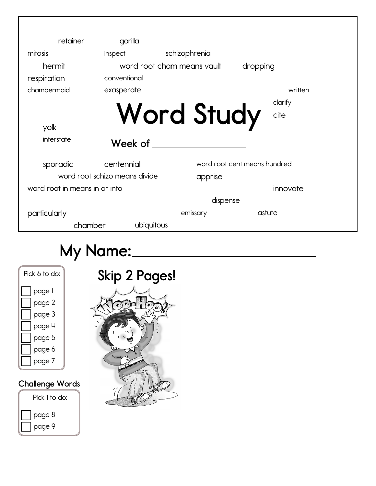| retainer                      | gorilla      |                            |                              |
|-------------------------------|--------------|----------------------------|------------------------------|
| mitosis                       | inspect      | schizophrenia              |                              |
| hermit                        |              | word root cham means yoult | dropping                     |
| respiration                   | conventional |                            |                              |
| chambermaid                   | exasperate   |                            | written                      |
|                               |              |                            | clarify                      |
| yolk<br>interstate            | Week of      | <b>Word Study</b>          | cite                         |
| sporadic                      | centennial   |                            | word root cent means hundred |
| word root schizo means divide |              | apprise                    |                              |
| word root in means in or into |              |                            | innovate                     |
|                               |              | dispense                   |                              |
| particularly                  |              | emissary                   | astute                       |
| chamber                       | ubiquitous   |                            |                              |

# **My Name:**

| Pick 6 to do: |  |  |  |  |  |  |
|---------------|--|--|--|--|--|--|
| page 1        |  |  |  |  |  |  |
| page 2        |  |  |  |  |  |  |
| page 3        |  |  |  |  |  |  |
| page 4        |  |  |  |  |  |  |
| page 5        |  |  |  |  |  |  |
| page 6        |  |  |  |  |  |  |
| page 7        |  |  |  |  |  |  |
|               |  |  |  |  |  |  |

### **Challenge Words**



# **Skip 2 Pages!** $\bullet$  $\mathbf{I}$  $\bullet$  $\overline{\mathbf{e}}$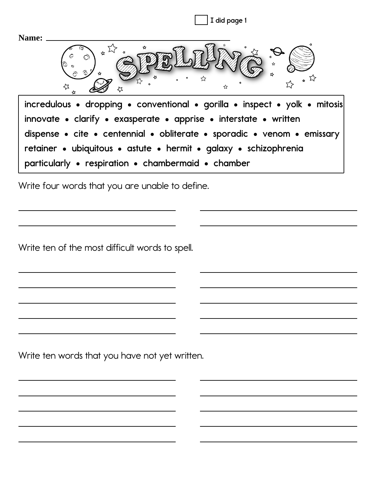

Write four words that you are unable to define.

Write ten of the most difficult words to spell.

Write ten words that you have not yet written.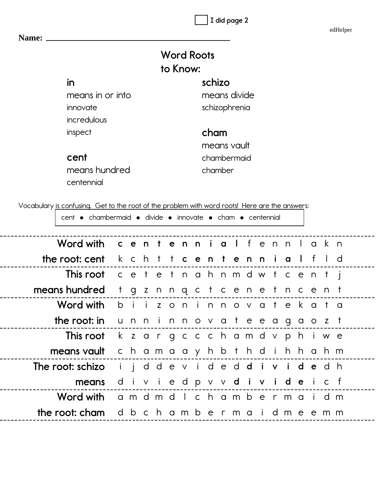edHelper

|                                                                                                |                                 |  |                                   | <b>Word Roots</b> |         |               |  |       |  |   |  |
|------------------------------------------------------------------------------------------------|---------------------------------|--|-----------------------------------|-------------------|---------|---------------|--|-------|--|---|--|
|                                                                                                |                                 |  |                                   | to Know:          |         |               |  |       |  |   |  |
| in                                                                                             |                                 |  |                                   |                   | schizo  |               |  |       |  |   |  |
| means in or into                                                                               |                                 |  |                                   |                   |         | means divide  |  |       |  |   |  |
| innovate                                                                                       |                                 |  |                                   |                   |         | schizophrenia |  |       |  |   |  |
| incredulous                                                                                    |                                 |  |                                   |                   |         |               |  |       |  |   |  |
| inspect                                                                                        |                                 |  |                                   |                   | cham    |               |  |       |  |   |  |
|                                                                                                |                                 |  |                                   |                   |         | means vault   |  |       |  |   |  |
| cent                                                                                           |                                 |  |                                   |                   |         | chambermaid   |  |       |  |   |  |
| means hundred                                                                                  |                                 |  |                                   |                   | chamber |               |  |       |  |   |  |
| centennial                                                                                     |                                 |  |                                   |                   |         |               |  |       |  |   |  |
|                                                                                                |                                 |  |                                   |                   |         |               |  |       |  |   |  |
| Vocabulary is confusing. Get to the root of the problem with word roots! Here are the answers: |                                 |  |                                   |                   |         |               |  |       |  |   |  |
| cent • chambermaid • divide • innovate • cham • centennial                                     |                                 |  |                                   |                   |         |               |  |       |  |   |  |
| Word with                                                                                      | centennialfennlakn              |  |                                   |                   |         |               |  |       |  |   |  |
| <b>the root: cent</b> $k \ncth$ <b>t</b>                                                       |                                 |  |                                   |                   |         | t centenn     |  | i a l |  | d |  |
| <b>This root</b> cetet nahnmdwtcentj                                                           |                                 |  |                                   |                   |         |               |  |       |  |   |  |
| means hundred                                                                                  | $^{\dagger}$                    |  | g z n n q c t c e n e t n c e n t |                   |         |               |  |       |  |   |  |
| Word with                                                                                      | b                               |  | i izoninnovatekata                |                   |         |               |  |       |  |   |  |
| the root: in unninnovateeagaozt                                                                |                                 |  |                                   |                   |         |               |  |       |  |   |  |
| This root k z a r g c c c h a m d v p h i w e                                                  |                                 |  |                                   |                   |         |               |  |       |  |   |  |
| means vault                                                                                    | chama a y h b t h d i h h a h m |  |                                   |                   |         |               |  |       |  |   |  |
| The root: schizo i j d d e v i d e d d i v i d e d h                                           |                                 |  |                                   |                   |         |               |  |       |  |   |  |
| means                                                                                          |                                 |  | divied pvvdivide icf              |                   |         |               |  |       |  |   |  |
|                                                                                                |                                 |  |                                   |                   |         |               |  |       |  |   |  |
| Word with amdmdlchamber maidm                                                                  |                                 |  |                                   |                   |         |               |  |       |  |   |  |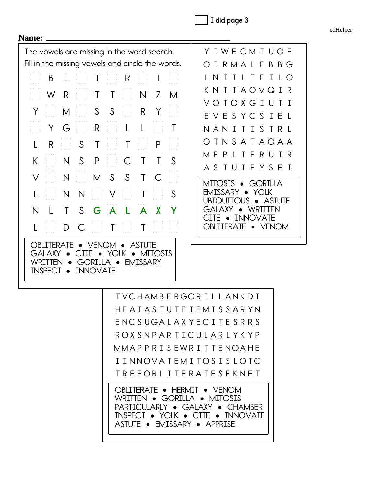edHelper

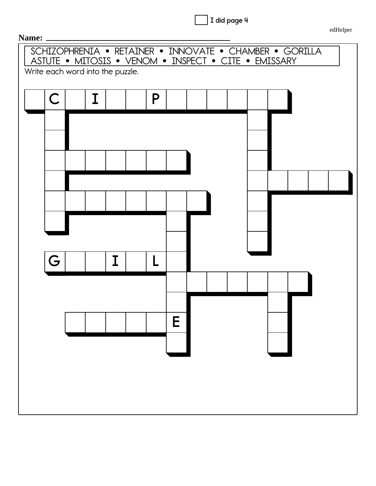

SCHIZOPHRENIA • RETAINER • INNOVATE • CHAMBER • GORILLA ASTUTE • MITOSIS • VENOM • INSPECT • CITE • EMISSARY Write each word into the puzzle. **& , 3 \* , / (**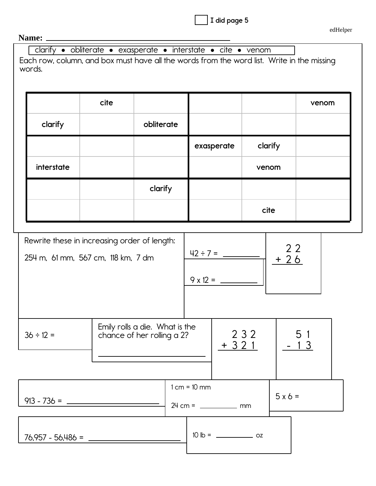|  |  | I did page 5 |  |
|--|--|--------------|--|
|--|--|--------------|--|

#### Name: \_

clarify · obliterate · exasperate · interstate · cite · venom

Each row, column, and box must have all the words from the word list. Write in the missing words.

|            | cite |            |            |         | venom |
|------------|------|------------|------------|---------|-------|
| clarify    |      | obliterate |            |         |       |
|            |      |            | exasperate | clarify |       |
| interstate |      |            |            | venom   |       |
|            |      | clarify    |            |         |       |
|            |      |            |            | cite    |       |

| 254 m, 61 mm, 567 cm, 118 km, 7 dm | Rewrite these in increasing order of length:                 |  |                |                 | $+26$   | 22       |  |
|------------------------------------|--------------------------------------------------------------|--|----------------|-----------------|---------|----------|--|
| $36 \div 12 =$                     | Emily rolls a die. What is the<br>chance of her rolling a 2? |  |                | 2 3 2<br>$+321$ |         | 51<br>13 |  |
|                                    |                                                              |  | $1 cm = 10 mm$ |                 | $5x6 =$ |          |  |
| $76,957 - 56,486 =$                |                                                              |  |                |                 |         |          |  |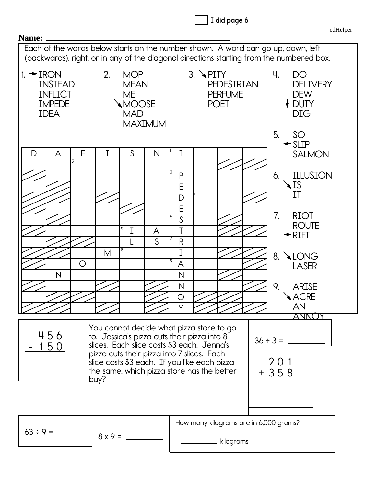| Name:                                                                                     |                                                                                |                                                                                                                                                                              | edHelper                                                                                            |
|-------------------------------------------------------------------------------------------|--------------------------------------------------------------------------------|------------------------------------------------------------------------------------------------------------------------------------------------------------------------------|-----------------------------------------------------------------------------------------------------|
|                                                                                           |                                                                                | Each of the words below starts on the number shown. A word can go up, down, left<br>(backwards), right, or in any of the diagonal directions starting from the numbered box. |                                                                                                     |
| $1. \rightarrow$ IRON<br><b>INSTEAD</b><br><b>INFLICT</b><br><b>IMPEDE</b><br><b>IDEA</b> | 2.<br><b>MOP</b><br><b>MEAN</b><br>ME<br>MOOSE<br><b>MAD</b><br><b>MAXIMUM</b> | $3. \blacktriangle$ PITY<br><b>PEDESTRIAN</b><br><b>PERFUME</b><br><b>POET</b>                                                                                               | 4.<br>DO<br><b>DELIVERY</b><br><b>DEW</b><br>$\overline{\mathsf{V}}$ DUTY<br><b>DIG</b><br>5.<br>SO |
| D<br>A                                                                                    | E<br>T<br>S<br>N                                                               | I                                                                                                                                                                            | $\triangleleft$ SLIP<br><b>SALMON</b>                                                               |
| 2                                                                                         |                                                                                | 3<br>P<br>E<br>D                                                                                                                                                             | <b>ILLUSION</b><br>6.<br>$\triangle$ IS<br>ΙT                                                       |
|                                                                                           | 6<br>I<br>A<br><sub>S</sub>                                                    | E<br>5<br>S<br>T<br>$\mathsf{R}$                                                                                                                                             | 7.<br><b>RIOT</b><br><b>ROUTE</b><br>$\rightarrow$ RIFT                                             |
| O<br>$\overline{\mathsf{N}}$                                                              | 8<br>M                                                                         | I<br>9<br>A<br>N                                                                                                                                                             | <b>ALONG</b><br>8.<br><b>LASER</b>                                                                  |
|                                                                                           |                                                                                | N<br>O                                                                                                                                                                       | 9.<br><b>ARISE</b><br><b>ACRE</b><br>AN                                                             |
| 456<br><u> 150</u>                                                                        | ANN<br>$36 \div 3 =$<br>20<br>+ 358                                            |                                                                                                                                                                              |                                                                                                     |
|                                                                                           |                                                                                |                                                                                                                                                                              |                                                                                                     |
| $63 ÷ 9 =$                                                                                | $8x9 =$                                                                        | How many kilograms are in 6,000 grams?<br>kilograms                                                                                                                          |                                                                                                     |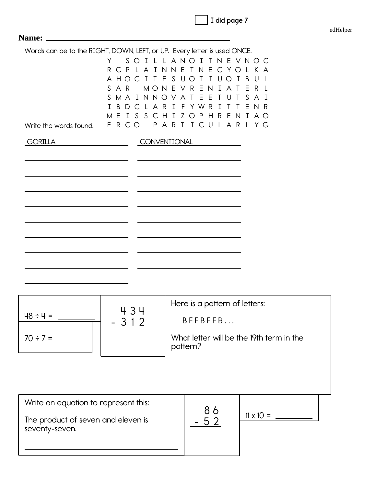|  |  |  | I did page 7 |  |
|--|--|--|--------------|--|
|--|--|--|--------------|--|

| edHelper |
|----------|
|----------|

|                                                      | Y<br>PLAINNE<br>R<br>$\subset$<br>A HOCITESUOT<br>S<br>AR I<br>MONE<br>S.<br>MAINNOVAT<br>BDCLAR<br>I. | Words can be to the RIGHT, DOWN, LEFT, or UP. Every letter is used ONCE.<br>SOILLANOITNEVNOC<br>T N E C Y O L K A<br>IUQ<br>$\mathbf{I}$<br>VRE<br>-N<br>I A<br>$\top$<br>F<br>H.<br>U<br>I F Y W R<br>$T$ T<br>I<br>MEISSCHIZOPHRENIAO | B<br>U<br>E<br>R.<br>S.<br>A<br>E<br>N R |
|------------------------------------------------------|--------------------------------------------------------------------------------------------------------|-----------------------------------------------------------------------------------------------------------------------------------------------------------------------------------------------------------------------------------------|------------------------------------------|
| Write the words found.                               | ERCO                                                                                                   | PARTICULARLYG                                                                                                                                                                                                                           |                                          |
| <b>GORILLA</b>                                       |                                                                                                        | CONVENTIONAL                                                                                                                                                                                                                            |                                          |
|                                                      |                                                                                                        |                                                                                                                                                                                                                                         |                                          |
|                                                      | 434                                                                                                    | Here is a pattern of letters:                                                                                                                                                                                                           |                                          |
| $48 \div 4$                                          | 3 1 2                                                                                                  | BFFBFFB                                                                                                                                                                                                                                 |                                          |
| $70 \div 7 =$                                        |                                                                                                        | What letter will be the 19th term in the<br>pattern?                                                                                                                                                                                    |                                          |
|                                                      |                                                                                                        |                                                                                                                                                                                                                                         |                                          |
| Write an equation to represent this:                 |                                                                                                        | 86                                                                                                                                                                                                                                      |                                          |
| The product of seven and eleven is<br>seventy-seven. |                                                                                                        | 52                                                                                                                                                                                                                                      | $11 \times 10 =$                         |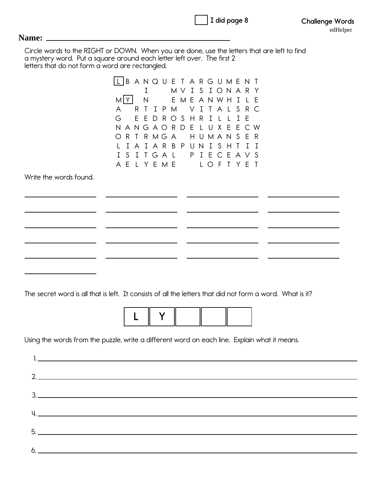| I did page 8 |  |
|--------------|--|
|              |  |

#### **Name:**

 $6.$   $\qquad$ 

Circle words to the RIGHT or DOWN. When you are done, use the letters that are left to find a mystery word. Put a square around each letter left over. The first 2 letters that do not form a word are rectangled.

|                                                                                                                                                                                                                                                                                                                                                                                                                                                                        | L   B A N Q U E T A R G U M E N T                                                                         |  |
|------------------------------------------------------------------------------------------------------------------------------------------------------------------------------------------------------------------------------------------------------------------------------------------------------------------------------------------------------------------------------------------------------------------------------------------------------------------------|-----------------------------------------------------------------------------------------------------------|--|
|                                                                                                                                                                                                                                                                                                                                                                                                                                                                        | MVISIONARY<br>I<br>M[Y]<br>EMEANWHILE<br>$\mathsf{N}$                                                     |  |
|                                                                                                                                                                                                                                                                                                                                                                                                                                                                        | IPM VITALSRC<br>A<br>$\top$<br>R                                                                          |  |
|                                                                                                                                                                                                                                                                                                                                                                                                                                                                        | G<br>EEDROSHRIL<br>I E<br>ANGAORDELUXE<br>N<br>E C W                                                      |  |
|                                                                                                                                                                                                                                                                                                                                                                                                                                                                        | RTRMGA HUMANSER<br>O                                                                                      |  |
|                                                                                                                                                                                                                                                                                                                                                                                                                                                                        | I A I A R B P U N I S H<br>$I$ I<br>$\top$                                                                |  |
|                                                                                                                                                                                                                                                                                                                                                                                                                                                                        | SITGAL PIECEAVS<br>I.<br>A E L Y E M E L O F T Y E T                                                      |  |
| Write the words found.                                                                                                                                                                                                                                                                                                                                                                                                                                                 |                                                                                                           |  |
|                                                                                                                                                                                                                                                                                                                                                                                                                                                                        |                                                                                                           |  |
|                                                                                                                                                                                                                                                                                                                                                                                                                                                                        |                                                                                                           |  |
|                                                                                                                                                                                                                                                                                                                                                                                                                                                                        |                                                                                                           |  |
|                                                                                                                                                                                                                                                                                                                                                                                                                                                                        |                                                                                                           |  |
|                                                                                                                                                                                                                                                                                                                                                                                                                                                                        |                                                                                                           |  |
|                                                                                                                                                                                                                                                                                                                                                                                                                                                                        |                                                                                                           |  |
|                                                                                                                                                                                                                                                                                                                                                                                                                                                                        |                                                                                                           |  |
|                                                                                                                                                                                                                                                                                                                                                                                                                                                                        |                                                                                                           |  |
|                                                                                                                                                                                                                                                                                                                                                                                                                                                                        | The secret word is all that is left. It consists of all the letters that did not form a word. What is it? |  |
|                                                                                                                                                                                                                                                                                                                                                                                                                                                                        |                                                                                                           |  |
|                                                                                                                                                                                                                                                                                                                                                                                                                                                                        | Y                                                                                                         |  |
|                                                                                                                                                                                                                                                                                                                                                                                                                                                                        |                                                                                                           |  |
|                                                                                                                                                                                                                                                                                                                                                                                                                                                                        | Using the words from the puzzle, write a different word on each line. Explain what it means.              |  |
| $1.$ $\overline{\phantom{a}}$ $\overline{\phantom{a}}$ $\overline{\phantom{a}}$ $\overline{\phantom{a}}$ $\overline{\phantom{a}}$ $\overline{\phantom{a}}$ $\overline{\phantom{a}}$ $\overline{\phantom{a}}$ $\overline{\phantom{a}}$ $\overline{\phantom{a}}$ $\overline{\phantom{a}}$ $\overline{\phantom{a}}$ $\overline{\phantom{a}}$ $\overline{\phantom{a}}$ $\overline{\phantom{a}}$ $\overline{\phantom{a}}$ $\overline{\phantom{a}}$ $\overline{\phantom{a}}$ |                                                                                                           |  |
|                                                                                                                                                                                                                                                                                                                                                                                                                                                                        |                                                                                                           |  |
|                                                                                                                                                                                                                                                                                                                                                                                                                                                                        | $2.$ $\overline{\phantom{a}}$                                                                             |  |
| $\begin{array}{c}\n3.\n\end{array}$                                                                                                                                                                                                                                                                                                                                                                                                                                    |                                                                                                           |  |
|                                                                                                                                                                                                                                                                                                                                                                                                                                                                        |                                                                                                           |  |
|                                                                                                                                                                                                                                                                                                                                                                                                                                                                        |                                                                                                           |  |
|                                                                                                                                                                                                                                                                                                                                                                                                                                                                        |                                                                                                           |  |